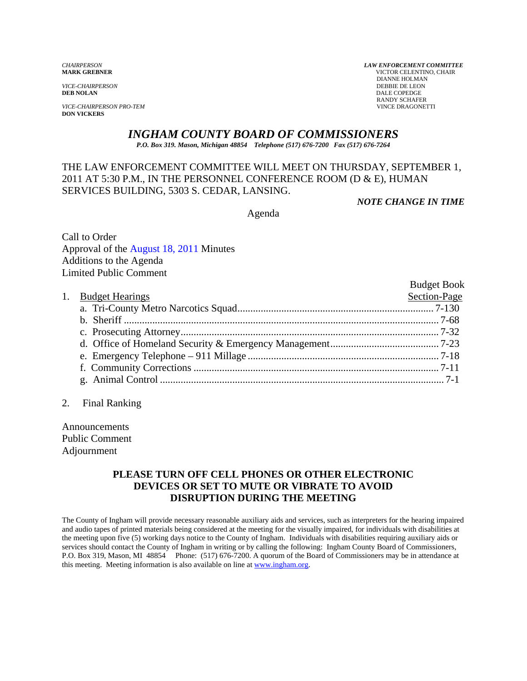*VICE-CHAIRPERSON*<br>**DEB NOLAN** 

**VICE-CHAIRPERSON PRO-TEM DON VICKERS** 

*CHAIRPERSON LAW ENFORCEMENT COMMITTEE* **MARK GREBNER** VICTOR CELENTINO, CHAIR **DIANNE HOLMAN<br>DEBBIE DE LEON DALE COPEDGE** RANDY SCHAFER<br>VINCE DRAGONETTI

# *INGHAM COUNTY BOARD OF COMMISSIONERS*

*P.O. Box 319. Mason, Michigan 48854 Telephone (517) 676-7200 Fax (517) 676-7264*

### THE LAW ENFORCEMENT COMMITTEE WILL MEET ON THURSDAY, SEPTEMBER 1, 2011 AT 5:30 P.M., IN THE PERSONNEL CONFERENCE ROOM (D & E), HUMAN SERVICES BUILDING, 5303 S. CEDAR, LANSING.

*NOTE CHANGE IN TIME* 

Agenda

Call to Order Approval of t[he August 18, 2011 Minutes](#page-1-0)  Additions to the Agenda Limited Public Comment

|                    | <b>Budget Book</b> |
|--------------------|--------------------|
| 1. Budget Hearings | Section-Page       |
|                    |                    |
|                    |                    |
|                    |                    |
|                    |                    |
|                    |                    |
|                    |                    |
|                    |                    |
|                    |                    |

2. Final Ranking

Announcements Public Comment Adjournment

### **PLEASE TURN OFF CELL PHONES OR OTHER ELECTRONIC DEVICES OR SET TO MUTE OR VIBRATE TO AVOID DISRUPTION DURING THE MEETING**

The County of Ingham will provide necessary reasonable auxiliary aids and services, such as interpreters for the hearing impaired and audio tapes of printed materials being considered at the meeting for the visually impaired, for individuals with disabilities at the meeting upon five (5) working days notice to the County of Ingham. Individuals with disabilities requiring auxiliary aids or services should contact the County of Ingham in writing or by calling the following: Ingham County Board of Commissioners, P.O. Box 319, Mason, MI 48854 Phone: (517) 676-7200. A quorum of the Board of Commissioners may be in attendance at this meeting. Meeting information is also available on line at www.ingham.org.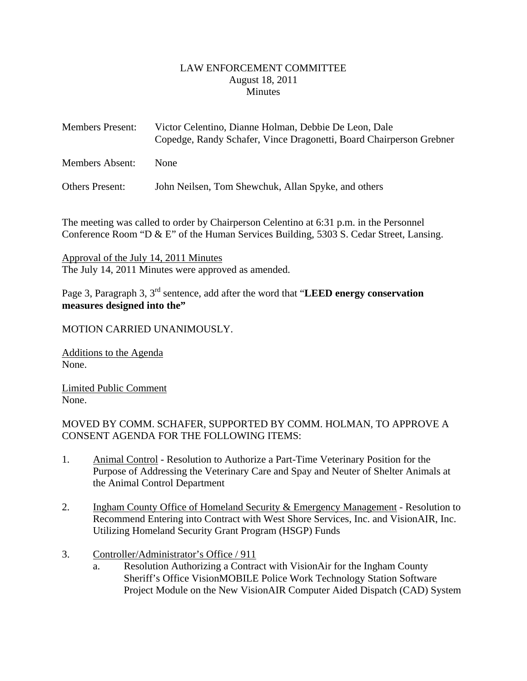#### LAW ENFORCEMENT COMMITTEE August 18, 2011 **Minutes**

<span id="page-1-0"></span>

| <b>Members Present:</b> | Victor Celentino, Dianne Holman, Debbie De Leon, Dale<br>Copedge, Randy Schafer, Vince Dragonetti, Board Chairperson Grebner |
|-------------------------|------------------------------------------------------------------------------------------------------------------------------|
| Members Absent:         | <b>None</b>                                                                                                                  |
| Others Present:         | John Neilsen, Tom Shewchuk, Allan Spyke, and others                                                                          |

The meeting was called to order by Chairperson Celentino at 6:31 p.m. in the Personnel Conference Room "D & E" of the Human Services Building, 5303 S. Cedar Street, Lansing.

Approval of the July 14, 2011 Minutes The July 14, 2011 Minutes were approved as amended.

Page 3, Paragraph 3, 3rd sentence, add after the word that "**LEED energy conservation measures designed into the"**

### MOTION CARRIED UNANIMOUSLY.

Additions to the Agenda None.

Limited Public Comment None.

MOVED BY COMM. SCHAFER, SUPPORTED BY COMM. HOLMAN, TO APPROVE A CONSENT AGENDA FOR THE FOLLOWING ITEMS:

- 1. Animal Control Resolution to Authorize a Part-Time Veterinary Position for the Purpose of Addressing the Veterinary Care and Spay and Neuter of Shelter Animals at the Animal Control Department
- 2. Ingham County Office of Homeland Security & Emergency Management Resolution to Recommend Entering into Contract with West Shore Services, Inc. and VisionAIR, Inc. Utilizing Homeland Security Grant Program (HSGP) Funds
- 3. Controller/Administrator's Office / 911
	- a. Resolution Authorizing a Contract with VisionAir for the Ingham County Sheriff's Office VisionMOBILE Police Work Technology Station Software Project Module on the New VisionAIR Computer Aided Dispatch (CAD) System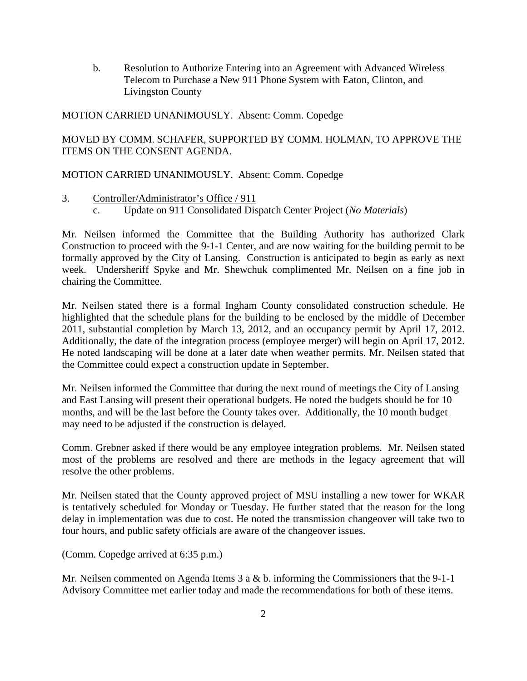b. Resolution to Authorize Entering into an Agreement with Advanced Wireless Telecom to Purchase a New 911 Phone System with Eaton, Clinton, and Livingston County

#### MOTION CARRIED UNANIMOUSLY. Absent: Comm. Copedge

# MOVED BY COMM. SCHAFER, SUPPORTED BY COMM. HOLMAN, TO APPROVE THE ITEMS ON THE CONSENT AGENDA.

### MOTION CARRIED UNANIMOUSLY. Absent: Comm. Copedge

### 3. Controller/Administrator's Office / 911

c. Update on 911 Consolidated Dispatch Center Project (*No Materials*)

Mr. Neilsen informed the Committee that the Building Authority has authorized Clark Construction to proceed with the 9-1-1 Center, and are now waiting for the building permit to be formally approved by the City of Lansing. Construction is anticipated to begin as early as next week. Undersheriff Spyke and Mr. Shewchuk complimented Mr. Neilsen on a fine job in chairing the Committee.

Mr. Neilsen stated there is a formal Ingham County consolidated construction schedule. He highlighted that the schedule plans for the building to be enclosed by the middle of December 2011, substantial completion by March 13, 2012, and an occupancy permit by April 17, 2012. Additionally, the date of the integration process (employee merger) will begin on April 17, 2012. He noted landscaping will be done at a later date when weather permits. Mr. Neilsen stated that the Committee could expect a construction update in September.

Mr. Neilsen informed the Committee that during the next round of meetings the City of Lansing and East Lansing will present their operational budgets. He noted the budgets should be for 10 months, and will be the last before the County takes over. Additionally, the 10 month budget may need to be adjusted if the construction is delayed.

Comm. Grebner asked if there would be any employee integration problems. Mr. Neilsen stated most of the problems are resolved and there are methods in the legacy agreement that will resolve the other problems.

Mr. Neilsen stated that the County approved project of MSU installing a new tower for WKAR is tentatively scheduled for Monday or Tuesday. He further stated that the reason for the long delay in implementation was due to cost. He noted the transmission changeover will take two to four hours, and public safety officials are aware of the changeover issues.

(Comm. Copedge arrived at 6:35 p.m.)

Mr. Neilsen commented on Agenda Items 3 a & b. informing the Commissioners that the 9-1-1 Advisory Committee met earlier today and made the recommendations for both of these items.